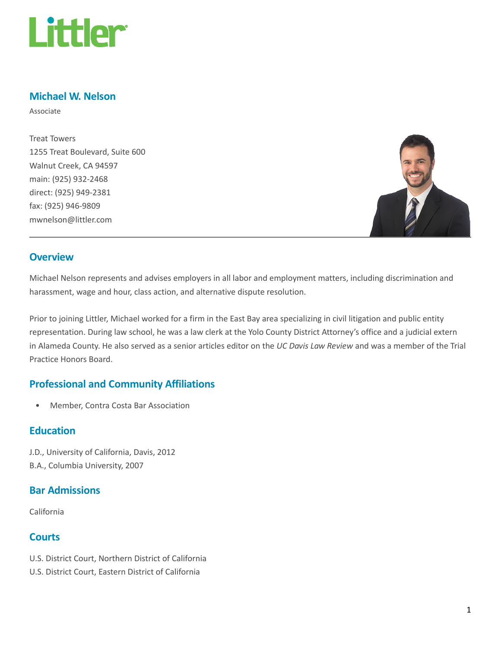

# Michael W. Nelson

Associate

Treat Towers 1255 Treat Boulevard, Suite 600 Walnut Creek, CA 94597 main: (925) 932-2468 direct: (925) 949-2381 fax: (925) 946-9809 mwnelson@littler.com



#### **Overview**

Michael Nelson represents and advises employers in all labor and employment matters, including discrimination and harassment, wage and hour, class action, and alternative dispute resolution.

Prior to joining Littler, Michael worked for a firm in the East Bay area specializing in civil litigation and public entity representation. During law school, he was a law clerk at the Yolo County District Attorney's office and a judicial extern in Alameda County. He also served as a senior articles editor on the UC Davis Law Review and was a member of the Trial Practice Honors Board.

### Professional and Community Affiliations

• Member, Contra Costa Bar Association

### **Education**

J.D., University of California, Davis, 2012 B.A., Columbia University, 2007

#### Bar Admissions

California

## **Courts**

- U.S. District Court, Northern District of California
- U.S. District Court, Eastern District of California